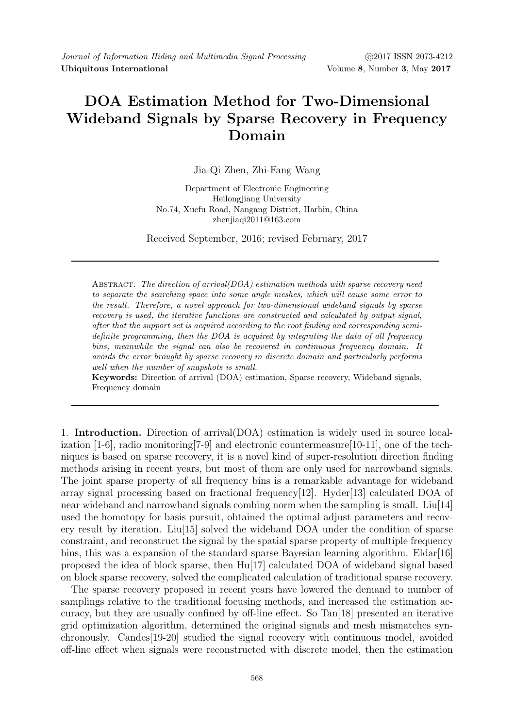Journal of Information Hiding and Multimedia Signal Processing (2017 ISSN 2073-4212 Ubiquitous International Volume 8, Number 3, May 2017

## DOA Estimation Method for Two-Dimensional Wideband Signals by Sparse Recovery in Frequency Domain

Jia-Qi Zhen, Zhi-Fang Wang

Department of Electronic Engineering Heilongjiang University No.74, Xuefu Road, Nangang District, Harbin, China zhenjiaqi2011@163.com

Received September, 2016; revised February, 2017

ABSTRACT. The direction of arrival(DOA) estimation methods with sparse recovery need to separate the searching space into some angle meshes, which will cause some error to the result. Therefore, a novel approach for two-dimensional wideband signals by sparse recovery is used, the iterative functions are constructed and calculated by output signal, after that the support set is acquired according to the root finding and corresponding semidefinite programming, then the DOA is acquired by integrating the data of all frequency bins, meanwhile the signal can also be recovered in continuous frequency domain. It avoids the error brought by sparse recovery in discrete domain and particularly performs well when the number of snapshots is small.

Keywords: Direction of arrival (DOA) estimation, Sparse recovery, Wideband signals, Frequency domain

1. Introduction. Direction of arrival(DOA) estimation is widely used in source localization [1-6], radio monitoring[7-9] and electronic countermeasure[10-11], one of the techniques is based on sparse recovery, it is a novel kind of super-resolution direction finding methods arising in recent years, but most of them are only used for narrowband signals. The joint sparse property of all frequency bins is a remarkable advantage for wideband array signal processing based on fractional frequency[12]. Hyder[13] calculated DOA of near wideband and narrowband signals combing norm when the sampling is small. Liu[14] used the homotopy for basis pursuit, obtained the optimal adjust parameters and recovery result by iteration. Liu[15] solved the wideband DOA under the condition of sparse constraint, and reconstruct the signal by the spatial sparse property of multiple frequency bins, this was a expansion of the standard sparse Bayesian learning algorithm. Eldar $[16]$ proposed the idea of block sparse, then Hu[17] calculated DOA of wideband signal based on block sparse recovery, solved the complicated calculation of traditional sparse recovery.

The sparse recovery proposed in recent years have lowered the demand to number of samplings relative to the traditional focusing methods, and increased the estimation accuracy, but they are usually confined by off-line effect. So Tan[18] presented an iterative grid optimization algorithm, determined the original signals and mesh mismatches synchronously. Candes[19-20] studied the signal recovery with continuous model, avoided off-line effect when signals were reconstructed with discrete model, then the estimation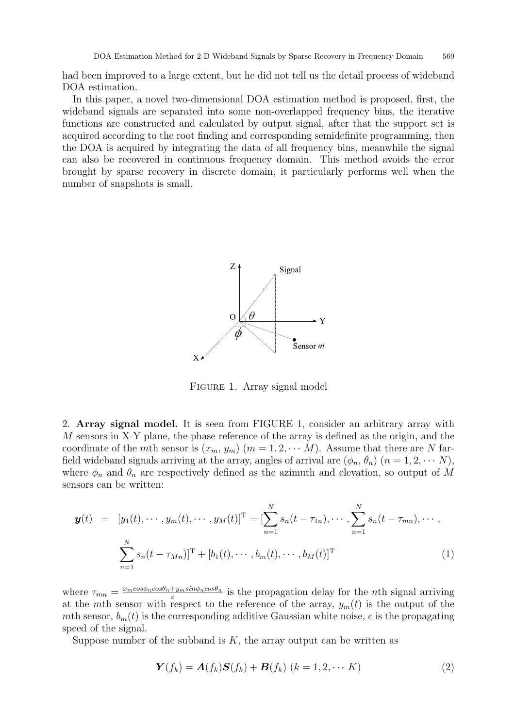had been improved to a large extent, but he did not tell us the detail process of wideband DOA estimation.

In this paper, a novel two-dimensional DOA estimation method is proposed, first, the wideband signals are separated into some non-overlapped frequency bins, the iterative functions are constructed and calculated by output signal, after that the support set is acquired according to the root finding and corresponding semidefinite programming, then the DOA is acquired by integrating the data of all frequency bins, meanwhile the signal can also be recovered in continuous frequency domain. This method avoids the error brought by sparse recovery in discrete domain, it particularly performs well when the number of snapshots is small.



Figure 1. Array signal model

2. Array signal model. It is seen from FIGURE 1, consider an arbitrary array with M sensors in X-Y plane, the phase reference of the array is defined as the origin, and the coordinate of the mth sensor is  $(x_m, y_m)$   $(m = 1, 2, \cdots M)$ . Assume that there are N farfield wideband signals arriving at the array, angles of arrival are  $(\phi_n, \theta_n)$   $(n = 1, 2, \cdots N)$ , where  $\phi_n$  and  $\theta_n$  are respectively defined as the azimuth and elevation, so output of M sensors can be written:

$$
\mathbf{y}(t) = [y_1(t), \cdots, y_m(t), \cdots, y_M(t)]^{\mathrm{T}} = [\sum_{n=1}^N s_n(t - \tau_{1n}), \cdots, \sum_{n=1}^N s_n(t - \tau_{mn}), \cdots, \sum_{n=1}^N s_n(t - \tau_{Mn})]^{\mathrm{T}} + [b_1(t), \cdots, b_m(t), \cdots, b_M(t)]^{\mathrm{T}} \tag{1}
$$

where  $\tau_{mn} = \frac{x_m cos \phi_n cos \theta_n + y_m sin \phi_n cos \theta_n}{c}$  $\frac{f_{m} \sin \varphi_{n} \cos \theta_{n}}{c}$  is the propagation delay for the *n*th signal arriving at the mth sensor with respect to the reference of the array,  $y_m(t)$  is the output of the mth sensor,  $b_m(t)$  is the corresponding additive Gaussian white noise, c is the propagating speed of the signal.

Suppose number of the subband is  $K$ , the array output can be written as

$$
\mathbf{Y}(f_k) = \mathbf{A}(f_k)\mathbf{S}(f_k) + \mathbf{B}(f_k) \ (k = 1, 2, \cdots K)
$$
\n(2)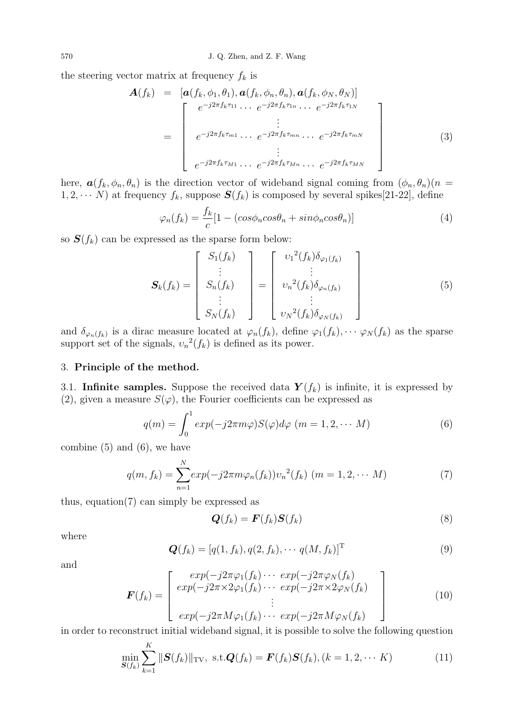the steering vector matrix at frequency  $f_k$  is

$$
\mathbf{A}(f_k) = [\mathbf{a}(f_k, \phi_1, \theta_1), \mathbf{a}(f_k, \phi_n, \theta_n), \mathbf{a}(f_k, \phi_N, \theta_N)]
$$
\n
$$
= \begin{bmatrix}\ne^{-j2\pi f_k \tau_{11}} \cdots e^{-j2\pi f_k \tau_{1n}} \cdots e^{-j2\pi f_k \tau_{1N}} \\
\vdots \\
e^{-j2\pi f_k \tau_{m1}} \cdots e^{-j2\pi f_k \tau_{mn}} \cdots e^{-j2\pi f_k \tau_{mN}} \\
\vdots \\
e^{-j2\pi f_k \tau_{M1}} \cdots e^{-j2\pi f_k \tau_{Mn}} \cdots e^{-j2\pi f_k \tau_{MN}}\n\end{bmatrix}
$$
\n(3)

here,  $\mathbf{a}(f_k, \phi_n, \theta_n)$  is the direction vector of wideband signal coming from  $(\phi_n, \theta_n)(n =$  $1, 2, \cdots N$ ) at frequency  $f_k$ , suppose  $S(f_k)$  is composed by several spikes[21-22], define

$$
\varphi_n(f_k) = \frac{f_k}{c} [1 - (cos\phi_n cos\theta_n + sin\phi_n cos\theta_n)] \tag{4}
$$

so  $S(f_k)$  can be expressed as the sparse form below:

$$
\mathbf{S}_{k}(f_{k}) = \begin{bmatrix} S_{1}(f_{k}) \\ \vdots \\ S_{n}(f_{k}) \\ \vdots \\ S_{N}(f_{k}) \end{bmatrix} = \begin{bmatrix} v_{1}^{2}(f_{k})\delta_{\varphi_{1}(f_{k})} \\ \vdots \\ v_{n}^{2}(f_{k})\delta_{\varphi_{n}(f_{k})} \\ \vdots \\ v_{N}^{2}(f_{k})\delta_{\varphi_{N}(f_{k})} \end{bmatrix}
$$
(5)

and  $\delta_{\varphi_n(f_k)}$  is a dirac measure located at  $\varphi_n(f_k)$ , define  $\varphi_1(f_k), \cdots \varphi_N(f_k)$  as the sparse support set of the signals,  $v_n^2(f_k)$  is defined as its power.

## 3. Principle of the method.

3.1. Infinite samples. Suppose the received data  $\mathbf{Y}(f_k)$  is infinite, it is expressed by (2), given a measure  $S(\varphi)$ , the Fourier coefficients can be expressed as

$$
q(m) = \int_0^1 \exp(-j2\pi m\varphi) S(\varphi) d\varphi \quad (m = 1, 2, \cdots M)
$$
 (6)

combine  $(5)$  and  $(6)$ , we have

$$
q(m, f_k) = \sum_{n=1}^{N} exp(-j2\pi m \varphi_n(f_k)) v_n^2(f_k) \ (m = 1, 2, \cdots M)
$$
 (7)

thus, equation(7) can simply be expressed as

 $\mathbb{R}^n$ 

$$
\mathbf{Q}(f_k) = \mathbf{F}(f_k) \mathbf{S}(f_k) \tag{8}
$$

where

$$
\mathbf{Q}(f_k) = [q(1, f_k), q(2, f_k), \cdots q(M, f_k)]^{\mathrm{T}}
$$
\n(9)

and

$$
\boldsymbol{F}(f_k) = \begin{bmatrix} exp(-j2\pi\varphi_1(f_k) \cdots exp(-j2\pi\varphi_N(f_k)) \\ exp(-j2\pi \times 2\varphi_1(f_k) \cdots exp(-j2\pi \times 2\varphi_N(f_k)) \\ \vdots \\ exp(-j2\pi M\varphi_1(f_k) \cdots exp(-j2\pi M\varphi_N(f_k)) \end{bmatrix}
$$
(10)

in order to reconstruct initial wideband signal, it is possible to solve the following question

$$
\min_{\mathbf{S}(f_k)} \sum_{k=1}^K \|\mathbf{S}(f_k)\|_{\text{TV}}, \text{ s.t.} \mathbf{Q}(f_k) = \mathbf{F}(f_k)\mathbf{S}(f_k), (k = 1, 2, \cdots K)
$$
\n(11)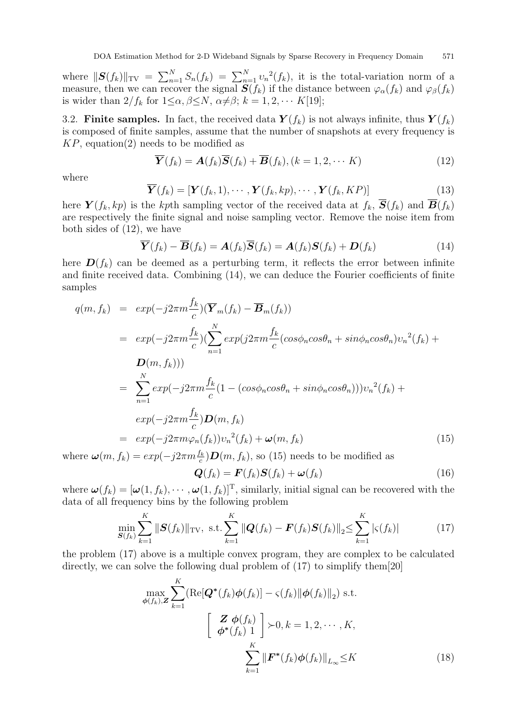where  $||\mathbf{S}(f_k)||_{TV} = \sum_{n=1}^{N} S_n(f_k) = \sum_{n=1}^{N} v_n^2(f_k)$ , it is the total-variation norm of a measure, then we can recover the signal  $S(f_k)$  if the distance between  $\varphi_\alpha(f_k)$  and  $\varphi_\beta(f_k)$ is wider than  $2/f_k$  for  $1 \leq \alpha, \beta \leq N, \alpha \neq \beta; k = 1, 2, \cdots K[19];$ 

3.2. Finite samples. In fact, the received data  $\mathbf{Y}(f_k)$  is not always infinite, thus  $\mathbf{Y}(f_k)$ is composed of finite samples, assume that the number of snapshots at every frequency is  $KP$ , equation(2) needs to be modified as

$$
\overline{\mathbf{Y}}(f_k) = \mathbf{A}(f_k)\overline{\mathbf{S}}(f_k) + \overline{\mathbf{B}}(f_k), (k = 1, 2, \cdots K)
$$
\n(12)

where

$$
\overline{\boldsymbol{Y}}(f_k) = [\boldsymbol{Y}(f_k, 1), \cdots, \boldsymbol{Y}(f_k, kp), \cdots, \boldsymbol{Y}(f_k, KP)] \tag{13}
$$

here  $\mathbf{Y}(f_k, kp)$  is the kpth sampling vector of the received data at  $f_k$ ,  $\overline{\mathbf{S}}(f_k)$  and  $\overline{\mathbf{B}}(f_k)$ are respectively the finite signal and noise sampling vector. Remove the noise item from both sides of (12), we have

$$
\overline{\mathbf{Y}}(f_k) - \overline{\mathbf{B}}(f_k) = \mathbf{A}(f_k)\overline{\mathbf{S}}(f_k) = \mathbf{A}(f_k)\mathbf{S}(f_k) + \mathbf{D}(f_k)
$$
\n(14)

here  $\mathbf{D}(f_k)$  can be deemed as a perturbing term, it reflects the error between infinite and finite received data. Combining (14), we can deduce the Fourier coefficients of finite samples

$$
q(m, f_k) = exp(-j2\pi m \frac{f_k}{c}) (\overline{Y}_m(f_k) - \overline{B}_m(f_k))
$$
  
\n
$$
= exp(-j2\pi m \frac{f_k}{c}) (\sum_{n=1}^N exp(j2\pi m \frac{f_k}{c} (cos\phi_n cos\theta_n + sin\phi_n cos\theta_n) v_n^2(f_k) +
$$
  
\n
$$
D(m, f_k)))
$$
  
\n
$$
= \sum_{n=1}^N exp(-j2\pi m \frac{f_k}{c} (1 - (cos\phi_n cos\theta_n + sin\phi_n cos\theta_n))) v_n^2(f_k) +
$$
  
\n
$$
exp(-j2\pi m \frac{f_k}{c}) D(m, f_k)
$$
  
\n
$$
= exp(-j2\pi m \varphi_n(f_k)) v_n^2(f_k) + \omega(m, f_k)
$$
  
\n
$$
= exp(-j2\pi m \varphi_n(f_k)) v_n^2(f_k) + \omega(m, f_k)
$$
 (15)

where  $\boldsymbol{\omega}(m, f_k) = exp(-j2\pi m \frac{f_k}{c}) \boldsymbol{D}(m, f_k)$ , so (15) needs to be modified as

$$
\mathbf{Q}(f_k) = \mathbf{F}(f_k)\mathbf{S}(f_k) + \boldsymbol{\omega}(f_k)
$$
\n(16)

where  $\boldsymbol{\omega}(f_k) = [\boldsymbol{\omega}(1, f_k), \cdots, \boldsymbol{\omega}(1, f_k)]^{\mathrm{T}}$ , similarly, initial signal can be recovered with the data of all frequency bins by the following problem

$$
\min_{\mathbf{S}(f_k)} \sum_{k=1}^{K} \|\mathbf{S}(f_k)\|_{\text{TV}}, \text{ s.t.} \sum_{k=1}^{K} \|\mathbf{Q}(f_k) - \mathbf{F}(f_k)\mathbf{S}(f_k)\|_{2} \le \sum_{k=1}^{K} |\varsigma(f_k)| \tag{17}
$$

the problem (17) above is a multiple convex program, they are complex to be calculated directly, we can solve the following dual problem of (17) to simplify them[20]

$$
\max_{\phi(f_k), \mathbf{Z}} \sum_{k=1}^{K} (\text{Re}[\mathbf{Q}^*(f_k)\phi(f_k)] - \varsigma(f_k) \|\phi(f_k)\|_2) \text{ s.t.}
$$
\n
$$
\left[\begin{array}{c} \mathbf{Z} \ \phi(f_k) \\ \phi^*(f_k) \ 1 \end{array}\right] \succ 0, k = 1, 2, \cdots, K,
$$
\n
$$
\sum_{k=1}^{K} \|\mathbf{F}^*(f_k)\phi(f_k)\|_{L_{\infty}} \leq K
$$
\n(18)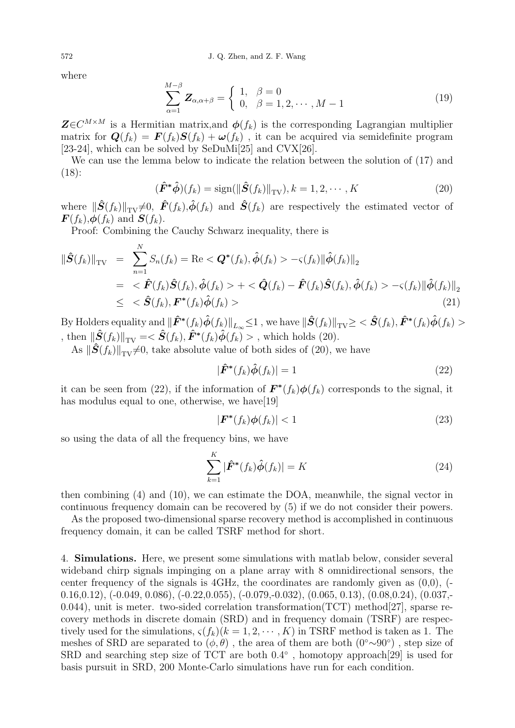where

$$
\sum_{\alpha=1}^{M-\beta} \mathbf{Z}_{\alpha,\alpha+\beta} = \begin{cases} 1, & \beta = 0 \\ 0, & \beta = 1,2,\cdots,M-1 \end{cases}
$$
(19)

 $\mathbf{Z} \in \mathbb{C}^{M \times M}$  is a Hermitian matrix, and  $\boldsymbol{\phi}(f_k)$  is the corresponding Lagrangian multiplier matrix for  $\mathbf{Q}(f_k) = \mathbf{F}(f_k)\mathbf{S}(f_k) + \boldsymbol{\omega}(f_k)$ , it can be acquired via semidefinite program [23-24], which can be solved by SeDuMi<sup>[25]</sup> and CVX<sup>[26]</sup>.

We can use the lemma below to indicate the relation between the solution of (17) and (18):

$$
(\hat{\boldsymbol{F}}^* \hat{\boldsymbol{\phi}})(f_k) = \text{sign}(\|\hat{\boldsymbol{S}}(f_k)\|_{\text{TV}}), k = 1, 2, \cdots, K
$$
\n(20)

where  $\|\hat{\mathbf{S}}(f_k)\|_{TV}\neq0$ ,  $\hat{\mathbf{F}}(f_k),\hat{\boldsymbol{\phi}}(f_k)$  and  $\hat{\mathbf{S}}(f_k)$  are respectively the estimated vector of  $\mathbf{F}(f_k), \boldsymbol{\phi}(f_k)$  and  $\mathbf{S}(f_k)$ .

Proof: Combining the Cauchy Schwarz inequality, there is

$$
\|\hat{\mathbf{S}}(f_k)\|_{\text{TV}} = \sum_{n=1}^{N} S_n(f_k) = \text{Re} < \mathbf{Q}^*(f_k), \hat{\phi}(f_k) > -\varsigma(f_k) \|\hat{\phi}(f_k)\|_2
$$
\n
$$
= < \hat{\mathbf{F}}(f_k)\hat{\mathbf{S}}(f_k), \hat{\phi}(f_k) > + < \hat{\mathbf{Q}}(f_k) - \hat{\mathbf{F}}(f_k)\hat{\mathbf{S}}(f_k), \hat{\phi}(f_k) > -\varsigma(f_k) \|\hat{\phi}(f_k)\|_2
$$
\n
$$
\le < \hat{\mathbf{S}}(f_k), \mathbf{F}^*(f_k)\hat{\phi}(f_k) > \tag{21}
$$

By Holders equality and  $\|\hat{\pmb{F}}^{*}(f_k)\hat{\phi}(f_k)\|_{L_{\infty}}\leq 1$  , we have  $\|\hat{\pmb{S}}(f_k)\|_{\text{TV}}\geq <\hat{\pmb{S}}(f_k),\hat{\pmb{F}}^{*}(f_k)\hat{\phi}(f_k)>$ , then  $\|\hat{\mathbf{S}}(f_k)\|_{\text{TV}} = \langle \hat{\mathbf{S}}(f_k), \hat{\mathbf{F}}^*(f_k)\hat{\boldsymbol{\phi}}(f_k)\rangle$ , which holds (20).

As  $\|\hat{S}(f_k)\|_{TV}\neq0$ , take absolute value of both sides of (20), we have

$$
|\hat{F}^*(f_k)\hat{\phi}(f_k)| = 1
$$
\n(22)

it can be seen from (22), if the information of  $\mathbf{F}^*(f_k)\phi(f_k)$  corresponds to the signal, it has modulus equal to one, otherwise, we have[19]

$$
|\boldsymbol{F}^*(f_k)\boldsymbol{\phi}(f_k)| < 1\tag{23}
$$

so using the data of all the frequency bins, we have

$$
\sum_{k=1}^{K} |\hat{F}^*(f_k)\hat{\phi}(f_k)| = K
$$
\n(24)

then combining (4) and (10), we can estimate the DOA, meanwhile, the signal vector in continuous frequency domain can be recovered by (5) if we do not consider their powers.

As the proposed two-dimensional sparse recovery method is accomplished in continuous frequency domain, it can be called TSRF method for short.

4. Simulations. Here, we present some simulations with matlab below, consider several wideband chirp signals impinging on a plane array with 8 omnidirectional sensors, the center frequency of the signals is 4GHz, the coordinates are randomly given as  $(0,0)$ ,  $(-1,0)$ 0.16,0.12), (-0.049, 0.086), (-0.22,0.055), (-0.079,-0.032), (0.065, 0.13), (0.08,0.24), (0.037,- 0.044), unit is meter. two-sided correlation transformation(TCT) method  $|27|$ , sparse recovery methods in discrete domain (SRD) and in frequency domain (TSRF) are respectively used for the simulations,  $\varsigma(f_k)(k=1,2,\cdots,K)$  in TSRF method is taken as 1. The meshes of SRD are separated to  $(\phi, \theta)$ , the area of them are both  $(0\degree \sim 90\degree)$ , step size of SRD and searching step size of TCT are both  $0.4^{\circ}$ , homotopy approach[29] is used for basis pursuit in SRD, 200 Monte-Carlo simulations have run for each condition.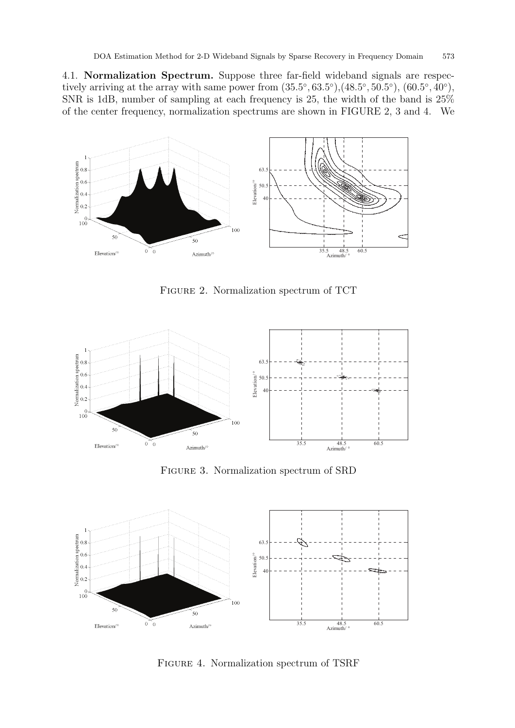4.1. Normalization Spectrum. Suppose three far-field wideband signals are respectively arriving at the array with same power from  $(35.5^{\circ}, 63.5^{\circ}), (48.5^{\circ}, 50.5^{\circ}), (60.5^{\circ}, 40^{\circ}),$ SNR is 1dB, number of sampling at each frequency is 25, the width of the band is 25% of the center frequency, normalization spectrums are shown in FIGURE 2, 3 and 4. We



Figure 2. Normalization spectrum of TCT



Figure 3. Normalization spectrum of SRD



Figure 4. Normalization spectrum of TSRF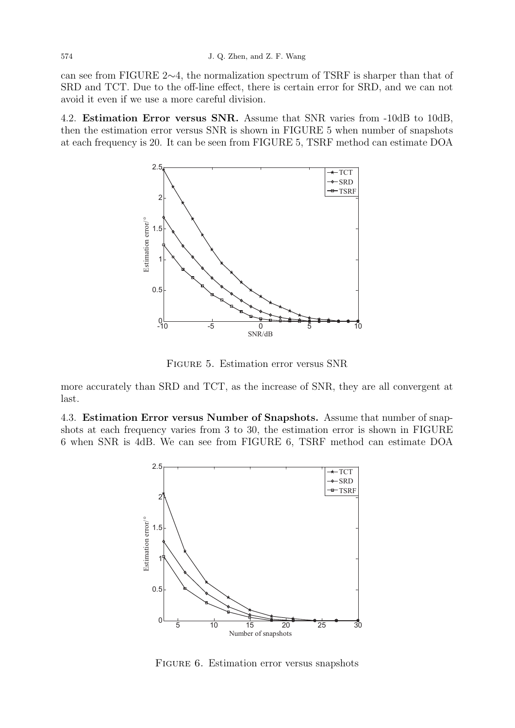can see from FIGURE 2∼4, the normalization spectrum of TSRF is sharper than that of SRD and TCT. Due to the off-line effect, there is certain error for SRD, and we can not avoid it even if we use a more careful division.

4.2. Estimation Error versus SNR. Assume that SNR varies from -10dB to 10dB, then the estimation error versus SNR is shown in FIGURE 5 when number of snapshots at each frequency is 20. It can be seen from FIGURE 5, TSRF method can estimate DOA



Figure 5. Estimation error versus SNR

more accurately than SRD and TCT, as the increase of SNR, they are all convergent at last.

4.3. Estimation Error versus Number of Snapshots. Assume that number of snapshots at each frequency varies from 3 to 30, the estimation error is shown in FIGURE 6 when SNR is 4dB. We can see from FIGURE 6, TSRF method can estimate DOA



Figure 6. Estimation error versus snapshots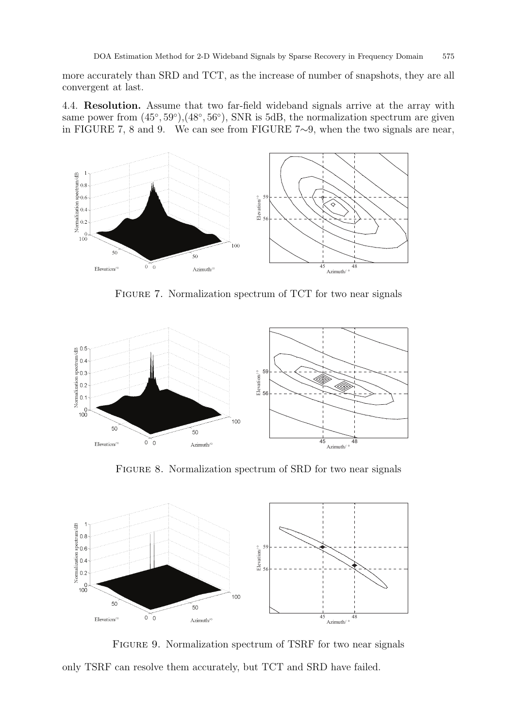more accurately than SRD and TCT, as the increase of number of snapshots, they are all convergent at last.

4.4. Resolution. Assume that two far-field wideband signals arrive at the array with same power from  $(45^{\circ}, 59^{\circ})$ , $(48^{\circ}, 56^{\circ})$ , SNR is 5dB, the normalization spectrum are given in FIGURE 7, 8 and 9. We can see from FIGURE 7∼9, when the two signals are near,



FIGURE 7. Normalization spectrum of TCT for two near signals



FIGURE 8. Normalization spectrum of SRD for two near signals



FIGURE 9. Normalization spectrum of TSRF for two near signals only TSRF can resolve them accurately, but TCT and SRD have failed.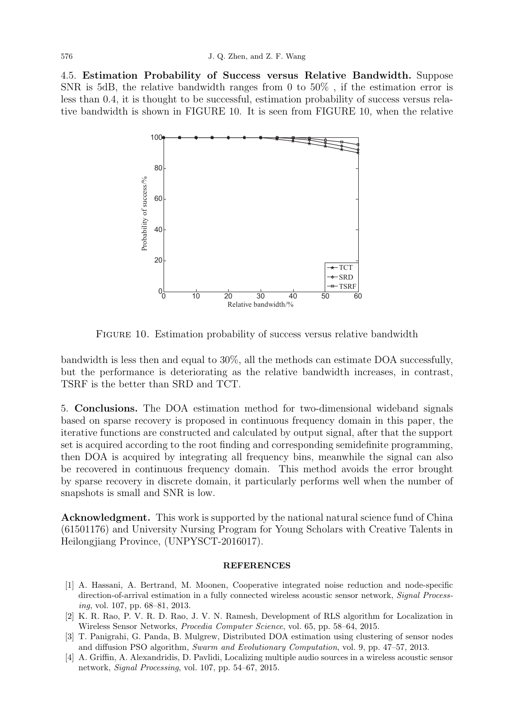4.5. Estimation Probability of Success versus Relative Bandwidth. Suppose SNR is 5dB, the relative bandwidth ranges from 0 to 50% , if the estimation error is less than 0.4, it is thought to be successful, estimation probability of success versus relative bandwidth is shown in FIGURE 10. It is seen from FIGURE 10, when the relative



FIGURE 10. Estimation probability of success versus relative bandwidth

bandwidth is less then and equal to 30%, all the methods can estimate DOA successfully, but the performance is deteriorating as the relative bandwidth increases, in contrast, TSRF is the better than SRD and TCT.

5. Conclusions. The DOA estimation method for two-dimensional wideband signals based on sparse recovery is proposed in continuous frequency domain in this paper, the iterative functions are constructed and calculated by output signal, after that the support set is acquired according to the root finding and corresponding semidefinite programming, then DOA is acquired by integrating all frequency bins, meanwhile the signal can also be recovered in continuous frequency domain. This method avoids the error brought by sparse recovery in discrete domain, it particularly performs well when the number of snapshots is small and SNR is low.

Acknowledgment. This work is supported by the national natural science fund of China (61501176) and University Nursing Program for Young Scholars with Creative Talents in Heilongjiang Province, (UNPYSCT-2016017).

## **REFERENCES**

- [1] A. Hassani, A. Bertrand, M. Moonen, Cooperative integrated noise reduction and node-specific direction-of-arrival estimation in a fully connected wireless acoustic sensor network, Signal Processing, vol. 107, pp. 68–81, 2013.
- [2] K. R. Rao, P. V. R. D. Rao, J. V. N. Ramesh, Development of RLS algorithm for Localization in Wireless Sensor Networks, Procedia Computer Science, vol. 65, pp. 58–64, 2015.
- [3] T. Panigrahi, G. Panda, B. Mulgrew, Distributed DOA estimation using clustering of sensor nodes and diffusion PSO algorithm, Swarm and Evolutionary Computation, vol. 9, pp. 47–57, 2013.
- [4] A. Griffin, A. Alexandridis, D. Pavlidi, Localizing multiple audio sources in a wireless acoustic sensor network, Signal Processing, vol. 107, pp. 54–67, 2015.